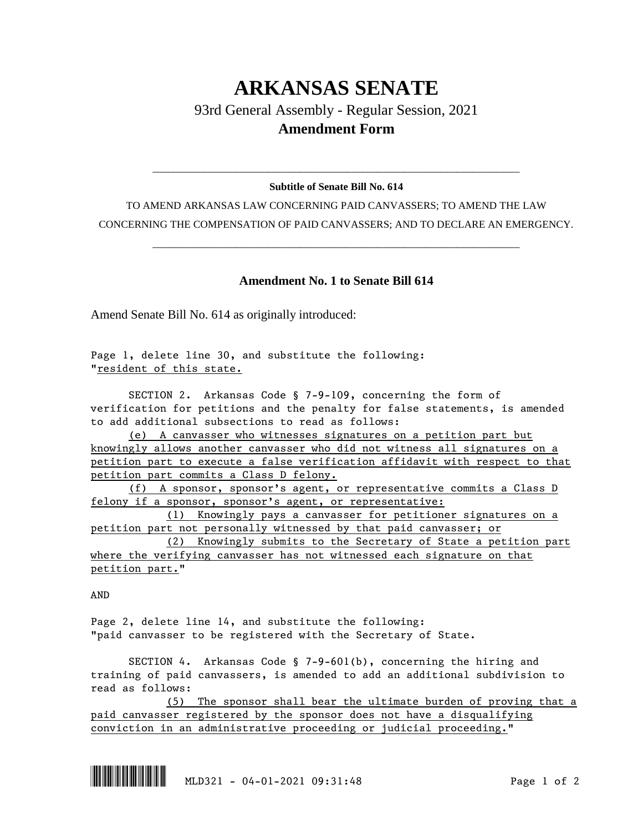## **ARKANSAS SENATE**

93rd General Assembly - Regular Session, 2021 **Amendment Form**

## \_\_\_\_\_\_\_\_\_\_\_\_\_\_\_\_\_\_\_\_\_\_\_\_\_\_\_\_\_\_\_\_\_\_\_\_\_\_\_\_\_\_\_\_\_\_\_\_\_\_\_\_\_\_\_\_\_\_\_\_\_\_\_\_\_\_\_\_\_\_ **Subtitle of Senate Bill No. 614**

TO AMEND ARKANSAS LAW CONCERNING PAID CANVASSERS; TO AMEND THE LAW CONCERNING THE COMPENSATION OF PAID CANVASSERS; AND TO DECLARE AN EMERGENCY.

\_\_\_\_\_\_\_\_\_\_\_\_\_\_\_\_\_\_\_\_\_\_\_\_\_\_\_\_\_\_\_\_\_\_\_\_\_\_\_\_\_\_\_\_\_\_\_\_\_\_\_\_\_\_\_\_\_\_\_\_\_\_\_\_\_\_\_\_\_\_

## **Amendment No. 1 to Senate Bill 614**

Amend Senate Bill No. 614 as originally introduced:

Page 1, delete line 30, and substitute the following: "resident of this state.

SECTION 2. Arkansas Code § 7-9-109, concerning the form of verification for petitions and the penalty for false statements, is amended to add additional subsections to read as follows:

(e) A canvasser who witnesses signatures on a petition part but knowingly allows another canvasser who did not witness all signatures on a petition part to execute a false verification affidavit with respect to that petition part commits a Class D felony.

(f) A sponsor, sponsor's agent, or representative commits a Class D felony if a sponsor, sponsor's agent, or representative:

(1) Knowingly pays a canvasser for petitioner signatures on a petition part not personally witnessed by that paid canvasser; or

(2) Knowingly submits to the Secretary of State a petition part where the verifying canvasser has not witnessed each signature on that petition part."

AND

Page 2, delete line 14, and substitute the following: "paid canvasser to be registered with the Secretary of State.

SECTION 4. Arkansas Code § 7-9-601(b), concerning the hiring and training of paid canvassers, is amended to add an additional subdivision to read as follows:

(5) The sponsor shall bear the ultimate burden of proving that a paid canvasser registered by the sponsor does not have a disqualifying conviction in an administrative proceeding or judicial proceeding."